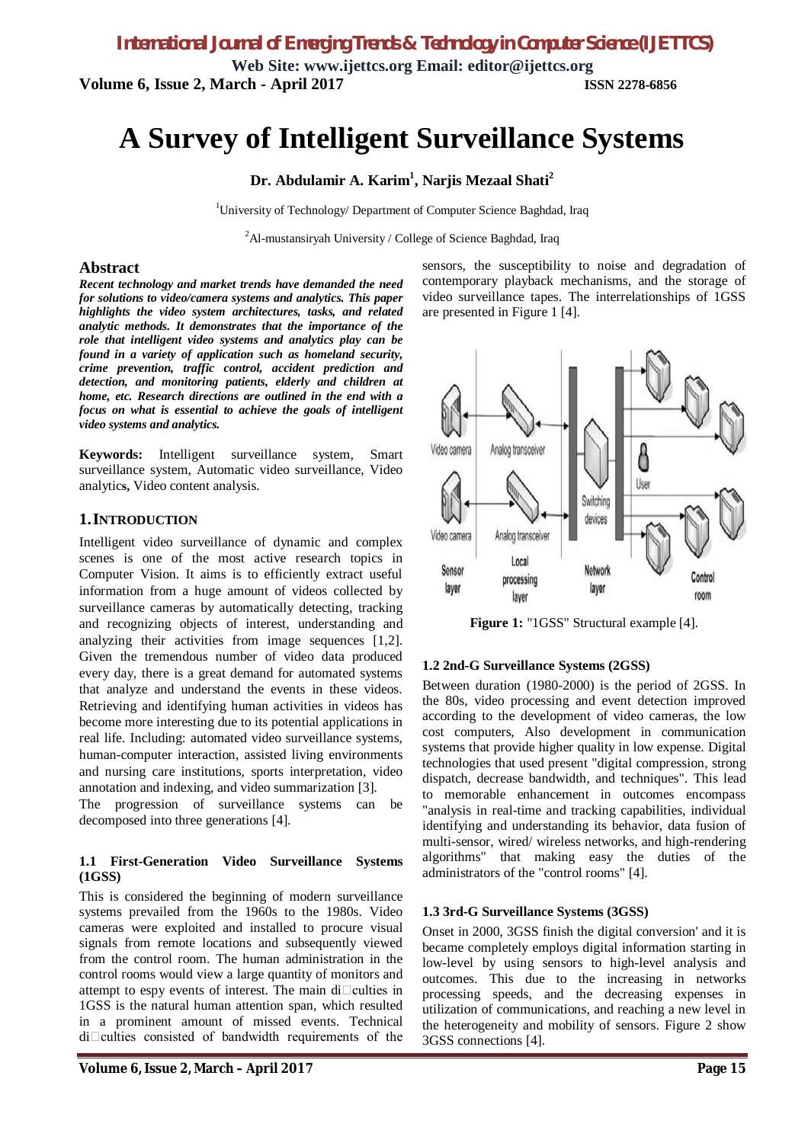**Web Site: [www.ijettcs.org](http://www.ijettcs.org) Email: [editor@ijettcs.org](mailto:editor@ijettcs.org) Volume 6, Issue 2, March - April 2017 ISSN 2278-6856**

# **A Survey of Intelligent Surveillance Systems**

#### **Dr. Abdulamir A. Karim<sup>1</sup> , Narjis Mezaal Shati<sup>2</sup>**

<sup>1</sup>University of Technology/ Department of Computer Science Baghdad, Iraq

 ${}^{2}$ Al-mustansiryah University / College of Science Baghdad, Iraq

#### **Abstract**

*Recent technology and market trends have demanded the need for solutions to video/camera systems and analytics. This paper highlights the video system architectures, tasks, and related analytic methods. It demonstrates that the importance of the role that intelligent video systems and analytics play can be found in a variety of application such as homeland security, crime prevention, traffic control, accident prediction and detection, and monitoring patients, elderly and children at home, etc. Research directions are outlined in the end with a focus on what is essential to achieve the goals of intelligent video systems and analytics.*

**Keywords:** Intelligent surveillance system, Smart surveillance system, Automatic video surveillance, Video analytic**s,** Video content analysis.

#### **1.INTRODUCTION**

Intelligent video surveillance of dynamic and complex scenes is one of the most active research topics in Computer Vision. It aims is to efficiently extract useful information from a huge amount of videos collected by surveillance cameras by automatically detecting, tracking and recognizing objects of interest, understanding and analyzing their activities from image sequences [1,2]. Given the tremendous number of video data produced every day, there is a great demand for automated systems that analyze and understand the events in these videos. Retrieving and identifying human activities in videos has become more interesting due to its potential applications in real life. Including: automated video surveillance systems, human-computer interaction, assisted living environments and nursing care institutions, sports interpretation, video annotation and indexing, and video summarization [3].

The progression of surveillance systems can be decomposed into three generations [4].

#### **1.1 First-Generation Video Surveillance Systems (1GSS)**

This is considered the beginning of modern surveillance systems prevailed from the 1960s to the 1980s. Video cameras were exploited and installed to procure visual signals from remote locations and subsequently viewed from the control room. The human administration in the control rooms would view a large quantity of monitors and attempt to espy events of interest. The main di $\Box$ culties in 1GSS is the natural human attention span, which resulted in a prominent amount of missed events. Technical  $di$ Culties consisted of bandwidth requirements of the sensors, the susceptibility to noise and degradation of contemporary playback mechanisms, and the storage of video surveillance tapes. The interrelationships of 1GSS are presented in Figure 1 [4].



**Figure 1:** "1GSS" Structural example [4].

#### **1.2 2nd-G Surveillance Systems (2GSS)**

Between duration (1980-2000) is the period of 2GSS. In the 80s, video processing and event detection improved according to the development of video cameras, the low cost computers, Also development in communication systems that provide higher quality in low expense. Digital technologies that used present "digital compression, strong dispatch, decrease bandwidth, and techniques". This lead to memorable enhancement in outcomes encompass "analysis in real-time and tracking capabilities, individual identifying and understanding its behavior, data fusion of multi-sensor, wired/ wireless networks, and high-rendering algorithms" that making easy the duties of the administrators of the "control rooms" [4].

#### **1.3 3rd-G Surveillance Systems (3GSS)**

Onset in 2000, 3GSS finish the digital conversion' and it is became completely employs digital information starting in low-level by using sensors to high-level analysis and outcomes. This due to the increasing in networks processing speeds, and the decreasing expenses in utilization of communications, and reaching a new level in the heterogeneity and mobility of sensors. Figure 2 show 3GSS connections [4].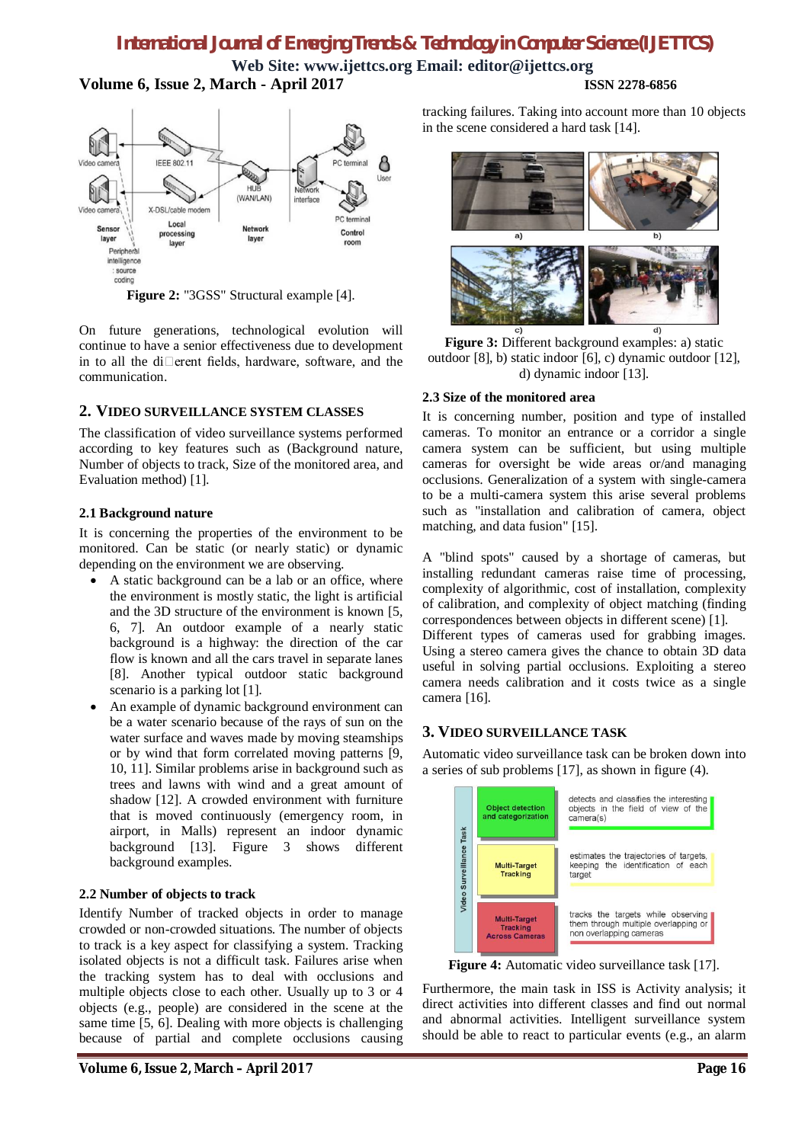**Web Site: [www.ijettcs.org](http://www.ijettcs.org) Email: [editor@ijettcs.org](mailto:editor@ijettcs.org) Volume 6, Issue 2, March - April 2017 ISSN 2278-6856**



**Figure 2:** "3GSS" Structural example [4].

On future generations, technological evolution will continue to have a senior effectiveness due to development in to all the di $\Box$ erent fields, hardware, software, and the communication.

#### **2. VIDEO SURVEILLANCE SYSTEM CLASSES**

The classification of video surveillance systems performed according to key features such as (Background nature, Number of objects to track, Size of the monitored area, and Evaluation method) [1].

#### **2.1 Background nature**

It is concerning the properties of the environment to be monitored. Can be static (or nearly static) or dynamic depending on the environment we are observing.

- A static background can be a lab or an office, where the environment is mostly static, the light is artificial and the 3D structure of the environment is known [5, 6, 7]. An outdoor example of a nearly static background is a highway: the direction of the car flow is known and all the cars travel in separate lanes [8]. Another typical outdoor static background scenario is a parking lot [1].
- An example of dynamic background environment can be a water scenario because of the rays of sun on the water surface and waves made by moving steamships or by wind that form correlated moving patterns [9, 10, 11]. Similar problems arise in background such as trees and lawns with wind and a great amount of shadow [12]. A crowded environment with furniture that is moved continuously (emergency room, in airport, in Malls) represent an indoor dynamic background [13]. Figure 3 shows different background examples.

#### **2.2 Number of objects to track**

Identify Number of tracked objects in order to manage crowded or non-crowded situations. The number of objects to track is a key aspect for classifying a system. Tracking isolated objects is not a difficult task. Failures arise when the tracking system has to deal with occlusions and multiple objects close to each other. Usually up to 3 or 4 objects (e.g., people) are considered in the scene at the same time [5, 6]. Dealing with more objects is challenging because of partial and complete occlusions causing

tracking failures. Taking into account more than 10 objects in the scene considered a hard task [14].



**Figure 3:** Different background examples: a) static outdoor [8], b) static indoor [6], c) dynamic outdoor [12], d) dynamic indoor [13].

#### **2.3 Size of the monitored area**

It is concerning number, position and type of installed cameras. To monitor an entrance or a corridor a single camera system can be sufficient, but using multiple cameras for oversight be wide areas or/and managing occlusions. Generalization of a system with single-camera to be a multi-camera system this arise several problems such as "installation and calibration of camera, object matching, and data fusion" [15].

A "blind spots" caused by a shortage of cameras, but installing redundant cameras raise time of processing, complexity of algorithmic, cost of installation, complexity of calibration, and complexity of object matching (finding correspondences between objects in different scene) [1].

Different types of cameras used for grabbing images. Using a stereo camera gives the chance to obtain 3D data useful in solving partial occlusions. Exploiting a stereo camera needs calibration and it costs twice as a single camera [16].

## **3. VIDEO SURVEILLANCE TASK**

Automatic video surveillance task can be broken down into a series of sub problems [17], as shown in figure (4).



**Figure 4:** Automatic video surveillance task [17].

Furthermore, the main task in ISS is Activity analysis; it direct activities into different classes and find out normal and abnormal activities. Intelligent surveillance system should be able to react to particular events (e.g., an alarm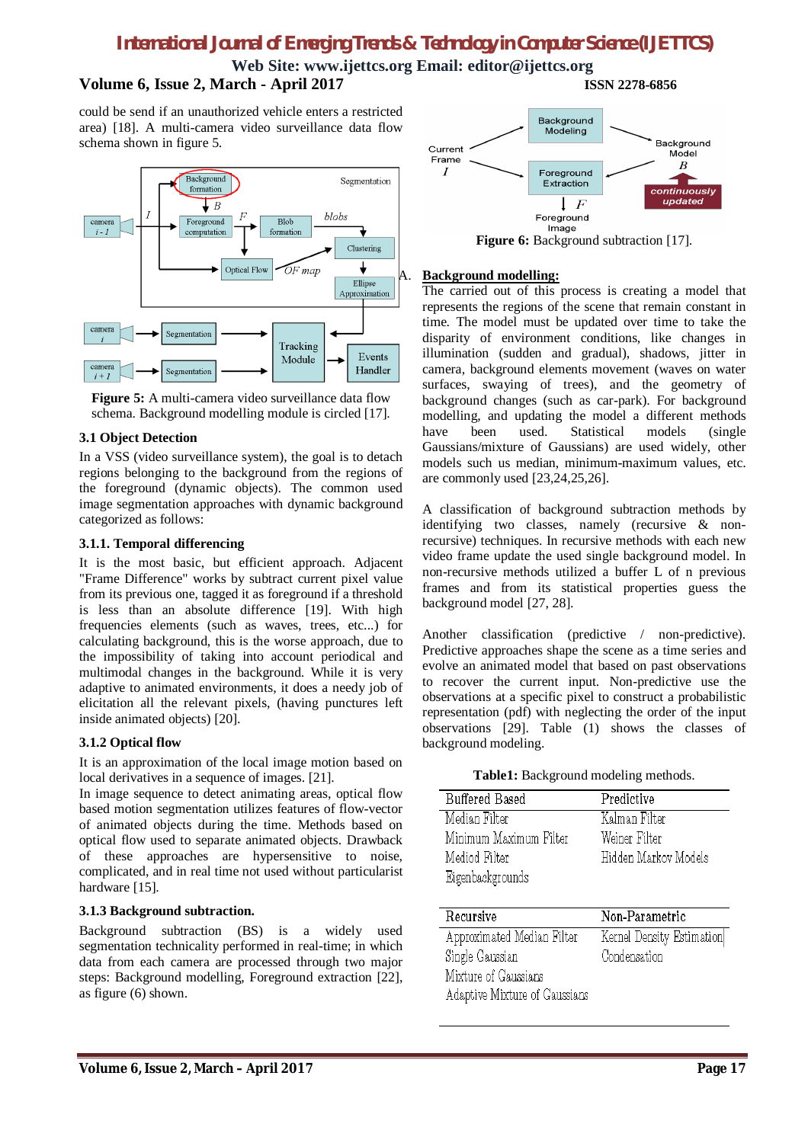**Web Site: [www.ijettcs.org](http://www.ijettcs.org) Email: [editor@ijettcs.org](mailto:editor@ijettcs.org) Volume 6, Issue 2, March - April 2017 ISSN 2278-6856**

could be send if an unauthorized vehicle enters a restricted area) [18]. A multi-camera video surveillance data flow schema shown in figure 5.



**Figure 5:** A multi-camera video surveillance data flow schema. Background modelling module is circled [17].

#### **3.1 Object Detection**

In a VSS (video surveillance system), the goal is to detach regions belonging to the background from the regions of the foreground (dynamic objects). The common used image segmentation approaches with dynamic background categorized as follows:

#### **3.1.1. Temporal differencing**

It is the most basic, but efficient approach. Adjacent "Frame Difference" works by subtract current pixel value from its previous one, tagged it as foreground if a threshold is less than an absolute difference [19]. With high frequencies elements (such as waves, trees, etc...) for calculating background, this is the worse approach, due to the impossibility of taking into account periodical and multimodal changes in the background. While it is very adaptive to animated environments, it does a needy job of elicitation all the relevant pixels, (having punctures left inside animated objects) [20].

#### **3.1.2 Optical flow**

It is an approximation of the local image motion based on local derivatives in a sequence of images. [21].

In image sequence to detect animating areas, optical flow based motion segmentation utilizes features of flow-vector of animated objects during the time. Methods based on optical flow used to separate animated objects. Drawback of these approaches are hypersensitive to noise, complicated, and in real time not used without particularist hardware [15].

#### **3.1.3 Background subtraction.**

Background subtraction (BS) is a widely used segmentation technicality performed in real-time; in which data from each camera are processed through two major steps: Background modelling, Foreground extraction [22], as figure (6) shown.



Figure 6: Background subtraction [17].

#### A. **Background modelling:**

The carried out of this process is creating a model that represents the regions of the scene that remain constant in time. The model must be updated over time to take the disparity of environment conditions, like changes in illumination (sudden and gradual), shadows, jitter in camera, background elements movement (waves on water surfaces, swaying of trees), and the geometry of background changes (such as car-park). For background modelling, and updating the model a different methods have been used. Statistical models (single Gaussians/mixture of Gaussians) are used widely, other models such us median, minimum-maximum values, etc. are commonly used [23,24,25,26].

A classification of background subtraction methods by identifying two classes, namely (recursive & nonrecursive) techniques. In recursive methods with each new video frame update the used single background model. In non-recursive methods utilized a buffer L of n previous frames and from its statistical properties guess the background model [27, 28].

Another classification (predictive / non-predictive). Predictive approaches shape the scene as a time series and evolve an animated model that based on past observations to recover the current input. Non-predictive use the observations at a specific pixel to construct a probabilistic representation (pdf) with neglecting the order of the input observations [29]. Table (1) shows the classes of background modeling.

#### **Table1:** Background modeling methods.

| Buffered Based         | Predictive           |
|------------------------|----------------------|
| Median Filter          | Kalman Filter        |
| Minimum Maximum Filter | Weiner Filter        |
| Mediod Filter          | Hidden Markov Models |
| Eigenbackgrounds       |                      |

| Recursive                     | Non-Parametric            |
|-------------------------------|---------------------------|
| Approximated Median Filter    | Kernel Density Estimation |
| Single Gaussian               | Condensation              |
| Mixture of Gaussians          |                           |
| Adaptive Mixture of Gaussians |                           |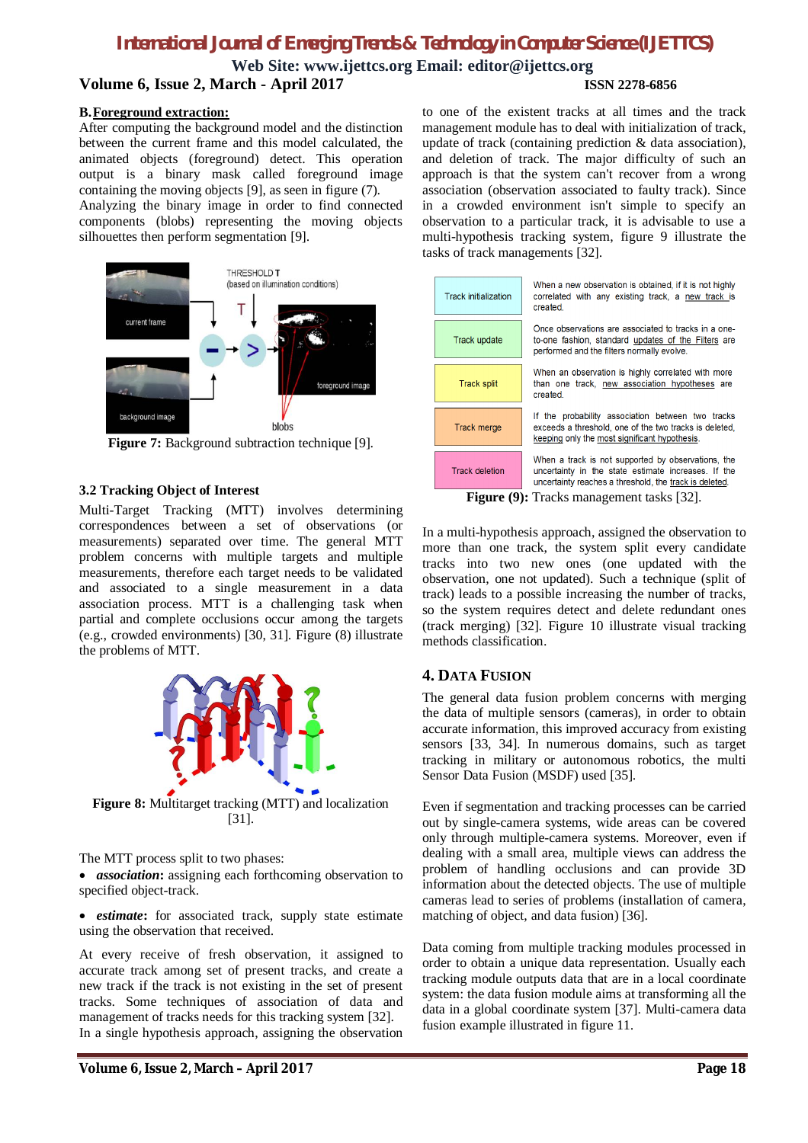**Web Site: [www.ijettcs.org](http://www.ijettcs.org) Email: [editor@ijettcs.org](mailto:editor@ijettcs.org) Volume 6, Issue 2, March - April 2017 ISSN 2278-6856**

#### **B.Foreground extraction:**

After computing the background model and the distinction between the current frame and this model calculated, the animated objects (foreground) detect. This operation output is a binary mask called foreground image containing the moving objects [9], as seen in figure (7). Analyzing the binary image in order to find connected

components (blobs) representing the moving objects silhouettes then perform segmentation [9].



**Figure 7:** Background subtraction technique [9].

#### **3.2 Tracking Object of Interest**

Multi-Target Tracking (MTT) involves determining correspondences between a set of observations (or measurements) separated over time. The general MTT problem concerns with multiple targets and multiple measurements, therefore each target needs to be validated and associated to a single measurement in a data association process. MTT is a challenging task when partial and complete occlusions occur among the targets (e.g., crowded environments) [30, 31]. Figure (8) illustrate the problems of MTT.



**Figure 8:** Multitarget tracking (MTT) and localization [31].

The MTT process split to two phases:

 *association***:** assigning each forthcoming observation to specified object-track.

 *estimate***:** for associated track, supply state estimate using the observation that received.

At every receive of fresh observation, it assigned to accurate track among set of present tracks, and create a new track if the track is not existing in the set of present tracks. Some techniques of association of data and management of tracks needs for this tracking system [32]. In a single hypothesis approach, assigning the observation

to one of the existent tracks at all times and the track management module has to deal with initialization of track, update of track (containing prediction & data association), and deletion of track. The major difficulty of such an approach is that the system can't recover from a wrong association (observation associated to faulty track). Since in a crowded environment isn't simple to specify an observation to a particular track, it is advisable to use a multi-hypothesis tracking system, figure 9 illustrate the tasks of track managements [32].

| <b>Track initialization</b>                                 | When a new observation is obtained, if it is not highly<br>correlated with any existing track, a new track is<br>created.                                           |
|-------------------------------------------------------------|---------------------------------------------------------------------------------------------------------------------------------------------------------------------|
| Track update                                                | Once observations are associated to tracks in a one-<br>to-one fashion, standard updates of the Filters are<br>performed and the filters normally evolve.           |
| <b>Track split</b>                                          | When an observation is highly correlated with more<br>than one track, new association hypotheses are<br>created.                                                    |
| Track merge                                                 | If the probability association between two tracks<br>exceeds a threshold, one of the two tracks is deleted,<br>keeping only the most significant hypothesis.        |
| <b>Track deletion</b>                                       | When a track is not supported by observations, the<br>uncertainty in the state estimate increases. If the<br>uncertainty reaches a threshold, the track is deleted. |
| ${\bf E_{i_m, \rm max}}$ (0). Tracks menogement toolse [22] |                                                                                                                                                                     |

**Figure (9):** Tracks management tasks [32].

In a multi-hypothesis approach, assigned the observation to more than one track, the system split every candidate tracks into two new ones (one updated with the observation, one not updated). Such a technique (split of track) leads to a possible increasing the number of tracks, so the system requires detect and delete redundant ones (track merging) [32]. Figure 10 illustrate visual tracking methods classification.

#### **4. DATA FUSION**

The general data fusion problem concerns with merging the data of multiple sensors (cameras), in order to obtain accurate information, this improved accuracy from existing sensors [33, 34]. In numerous domains, such as target tracking in military or autonomous robotics, the multi Sensor Data Fusion (MSDF) used [35].

Even if segmentation and tracking processes can be carried out by single-camera systems, wide areas can be covered only through multiple-camera systems. Moreover, even if dealing with a small area, multiple views can address the problem of handling occlusions and can provide 3D information about the detected objects. The use of multiple cameras lead to series of problems (installation of camera, matching of object, and data fusion) [36].

Data coming from multiple tracking modules processed in order to obtain a unique data representation. Usually each tracking module outputs data that are in a local coordinate system: the data fusion module aims at transforming all the data in a global coordinate system [37]. Multi-camera data fusion example illustrated in figure 11.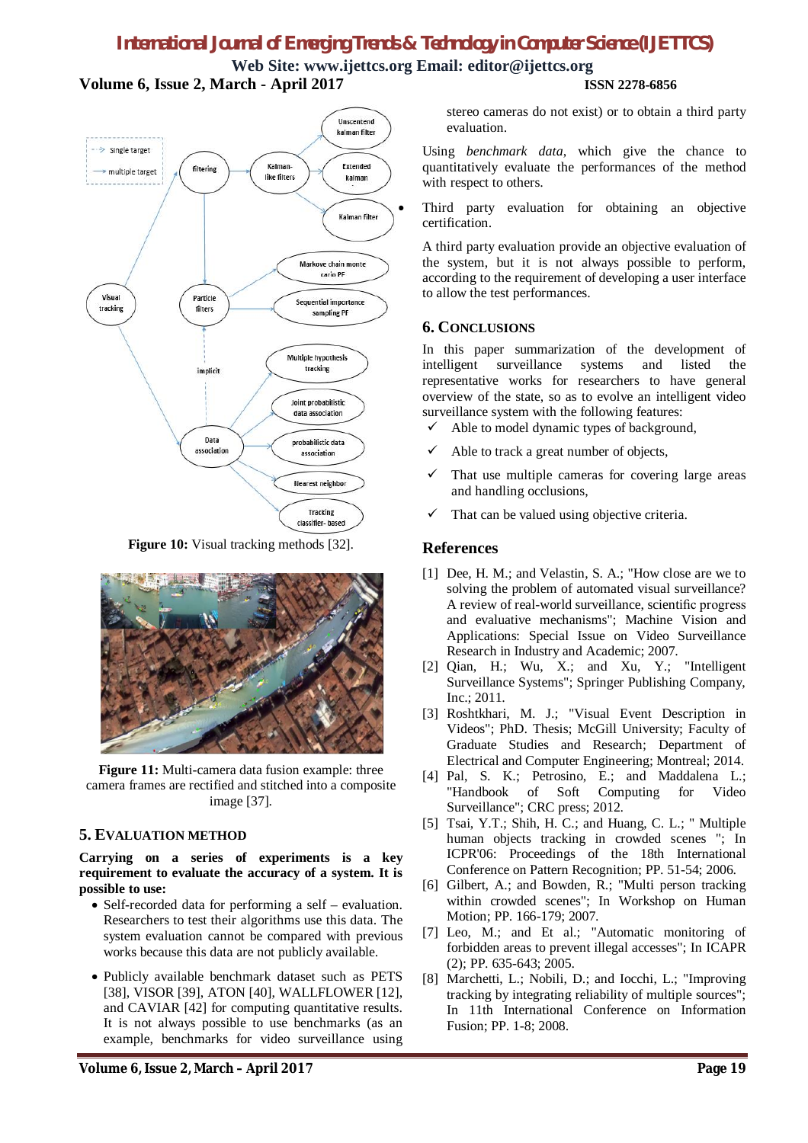**Web Site: [www.ijettcs.org](http://www.ijettcs.org) Email: [editor@ijettcs.org](mailto:editor@ijettcs.org) Volume 6, Issue 2, March - April 2017 ISSN 2278-6856**



**Figure 10:** Visual tracking methods [32].



Figure 11: Multi-camera data fusion example: three camera frames are rectified and stitched into a composite image [37].

### **5. EVALUATION METHOD**

**Carrying on a series of experiments is a key requirement to evaluate the accuracy of a system. It is possible to use:**

- Self-recorded data for performing a self evaluation. Researchers to test their algorithms use this data. The system evaluation cannot be compared with previous works because this data are not publicly available.
- Publicly available benchmark dataset such as PETS [38], VISOR [39], ATON [40], WALLFLOWER [12], and CAVIAR [42] for computing quantitative results. It is not always possible to use benchmarks (as an example, benchmarks for video surveillance using

stereo cameras do not exist) or to obtain a third party evaluation.

Using *benchmark data*, which give the chance to quantitatively evaluate the performances of the method with respect to others.

 Third party evaluation for obtaining an objective certification.

A third party evaluation provide an objective evaluation of the system, but it is not always possible to perform, according to the requirement of developing a user interface to allow the test performances.

#### **6. CONCLUSIONS**

In this paper summarization of the development of intelligent surveillance systems and listed the representative works for researchers to have general overview of the state, so as to evolve an intelligent video surveillance system with the following features:

- $\checkmark$  Able to model dynamic types of background,
- $\checkmark$  Able to track a great number of objects,
- $\checkmark$  That use multiple cameras for covering large areas and handling occlusions,
- That can be valued using objective criteria.

#### **References**

- [1] Dee, H. M.; and Velastin, S. A.; "How close are we to solving the problem of automated visual surveillance? A review of real-world surveillance, scientific progress and evaluative mechanisms"; Machine Vision and Applications: Special Issue on Video Surveillance Research in Industry and Academic; 2007.
- [2] Qian, H.; Wu, X.; and Xu, Y.; "Intelligent Surveillance Systems"; Springer Publishing Company, Inc.; 2011.
- [3] Roshtkhari, M. J.; "Visual Event Description in Videos"; PhD. Thesis; McGill University; Faculty of Graduate Studies and Research; Department of Electrical and Computer Engineering; Montreal; 2014.
- [4] Pal, S. K.; Petrosino, E.; and Maddalena L.; "Handbook of Soft Computing for Video Surveillance"; CRC press; 2012.
- [5] Tsai, Y.T.; Shih, H. C.; and Huang, C. L.; " Multiple human objects tracking in crowded scenes "; In ICPR'06: Proceedings of the 18th International Conference on Pattern Recognition; PP. 51-54; 2006.
- [6] Gilbert, A.; and Bowden, R.; "Multi person tracking within crowded scenes"; In Workshop on Human Motion; PP. 166-179; 2007.
- [7] Leo, M.; and Et al.; "Automatic monitoring of forbidden areas to prevent illegal accesses"; In ICAPR (2); PP. 635-643; 2005.
- [8] Marchetti, L.; Nobili, D.; and Iocchi, L.; "Improving tracking by integrating reliability of multiple sources"; In 11th International Conference on Information Fusion; PP. 1-8; 2008.